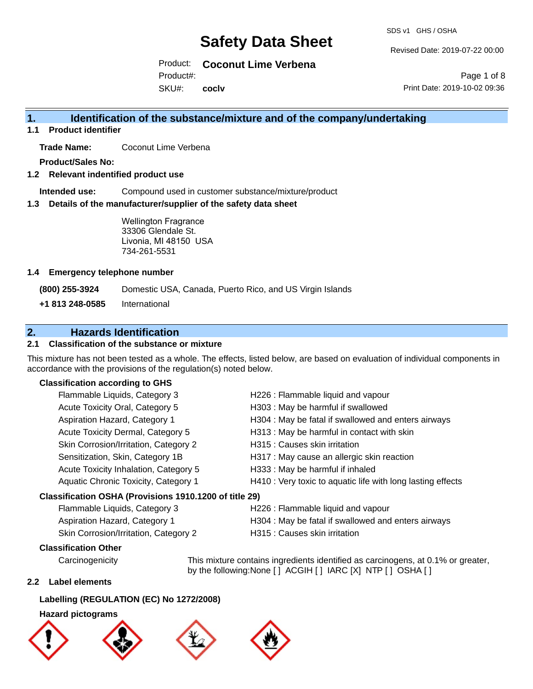SDS v1 GHS / OSHA

Revised Date: 2019-07-22 00:00

Product: **Coconut Lime Verbena** SKU#: Product#: **coclv**

Page 1 of 8 Print Date: 2019-10-02 09:36

# **1. Identification of the substance/mixture and of the company/undertaking**

**1.1 Product identifier**

**Trade Name:** Coconut Lime Verbena

**Product/Sales No:**

**1.2 Relevant indentified product use**

**Intended use:** Compound used in customer substance/mixture/product

**1.3 Details of the manufacturer/supplier of the safety data sheet**

Wellington Fragrance 33306 Glendale St. Livonia, MI 48150 USA 734-261-5531

### **1.4 Emergency telephone number**

**(800) 255-3924** Domestic USA, Canada, Puerto Rico, and US Virgin Islands

**+1 813 248-0585** International

# **2. Hazards Identification**

## **2.1 Classification of the substance or mixture**

This mixture has not been tested as a whole. The effects, listed below, are based on evaluation of individual components in accordance with the provisions of the regulation(s) noted below.

### **Classification according to GHS**

| Flammable Liquids, Category 3                          | H226 : Flammable liquid and vapour                          |
|--------------------------------------------------------|-------------------------------------------------------------|
| Acute Toxicity Oral, Category 5                        | H303 : May be harmful if swallowed                          |
| Aspiration Hazard, Category 1                          | H304 : May be fatal if swallowed and enters airways         |
| Acute Toxicity Dermal, Category 5                      | H313 : May be harmful in contact with skin                  |
| Skin Corrosion/Irritation, Category 2                  | H315 : Causes skin irritation                               |
| Sensitization, Skin, Category 1B                       | H317 : May cause an allergic skin reaction                  |
| Acute Toxicity Inhalation, Category 5                  | H333: May be harmful if inhaled                             |
| Aquatic Chronic Toxicity, Category 1                   | H410 : Very toxic to aquatic life with long lasting effects |
| Classification OSHA (Provisions 1910.1200 of title 29) |                                                             |
| Flammable Liquids, Category 3                          | H226 : Flammable liquid and vapour                          |
| Aspiration Hazard, Category 1                          | H304 : May be fatal if swallowed and enters airways         |

## **Classification Other**

Carcinogenicity This mixture contains ingredients identified as carcinogens, at 0.1% or greater, by the following:None [ ] ACGIH [ ] IARC [X] NTP [ ] OSHA [ ]

### **2.2 Label elements**

### **Labelling (REGULATION (EC) No 1272/2008)**

### **Hazard pictograms**







Skin Corrosion/Irritation, Category 2 H315 : Causes skin irritation

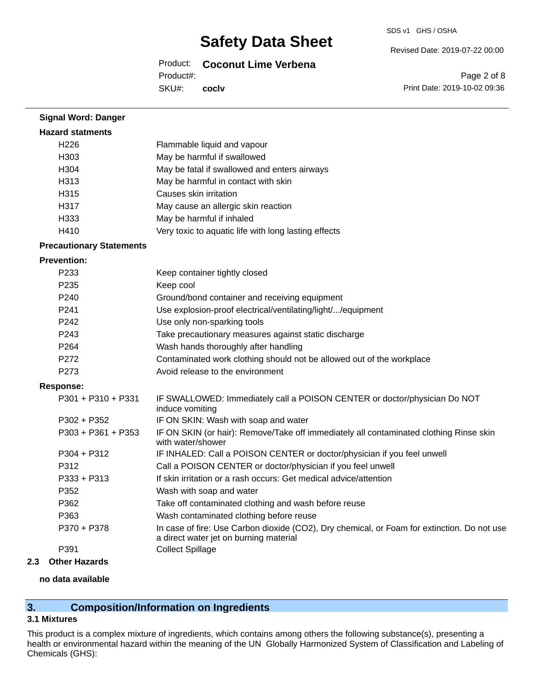Revised Date: 2019-07-22 00:00

Product: **Coconut Lime Verbena** Product#:

SKU#: **coclv**

Page 2 of 8 Print Date: 2019-10-02 09:36

| <b>Signal Word: Danger</b>      |                                                                                                                                       |
|---------------------------------|---------------------------------------------------------------------------------------------------------------------------------------|
| <b>Hazard statments</b>         |                                                                                                                                       |
| H <sub>226</sub>                | Flammable liquid and vapour                                                                                                           |
| H303                            | May be harmful if swallowed                                                                                                           |
| H304                            | May be fatal if swallowed and enters airways                                                                                          |
| H313                            | May be harmful in contact with skin                                                                                                   |
| H315                            | Causes skin irritation                                                                                                                |
| H317                            | May cause an allergic skin reaction                                                                                                   |
| H333                            | May be harmful if inhaled                                                                                                             |
| H410                            | Very toxic to aquatic life with long lasting effects                                                                                  |
| <b>Precautionary Statements</b> |                                                                                                                                       |
| <b>Prevention:</b>              |                                                                                                                                       |
| P233                            | Keep container tightly closed                                                                                                         |
| P235                            | Keep cool                                                                                                                             |
| P240                            | Ground/bond container and receiving equipment                                                                                         |
| P241                            | Use explosion-proof electrical/ventilating/light//equipment                                                                           |
| P242                            | Use only non-sparking tools                                                                                                           |
| P243                            | Take precautionary measures against static discharge                                                                                  |
| P264                            | Wash hands thoroughly after handling                                                                                                  |
| P272                            | Contaminated work clothing should not be allowed out of the workplace                                                                 |
| P273                            | Avoid release to the environment                                                                                                      |
| <b>Response:</b>                |                                                                                                                                       |
| P301 + P310 + P331              | IF SWALLOWED: Immediately call a POISON CENTER or doctor/physician Do NOT<br>induce vomiting                                          |
| P302 + P352                     | IF ON SKIN: Wash with soap and water                                                                                                  |
| $P303 + P361 + P353$            | IF ON SKIN (or hair): Remove/Take off immediately all contaminated clothing Rinse skin<br>with water/shower                           |
| P304 + P312                     | IF INHALED: Call a POISON CENTER or doctor/physician if you feel unwell                                                               |
| P312                            | Call a POISON CENTER or doctor/physician if you feel unwell                                                                           |
| P333 + P313                     | If skin irritation or a rash occurs: Get medical advice/attention                                                                     |
| P352                            | Wash with soap and water                                                                                                              |
| P362                            | Take off contaminated clothing and wash before reuse                                                                                  |
| P363                            | Wash contaminated clothing before reuse                                                                                               |
| P370 + P378                     | In case of fire: Use Carbon dioxide (CO2), Dry chemical, or Foam for extinction. Do not use<br>a direct water jet on burning material |
| P391                            | <b>Collect Spillage</b>                                                                                                               |
| <b>Other Hazards</b><br>2.3     |                                                                                                                                       |

#### **no data available**

# **3. Composition/Information on Ingredients**

### **3.1 Mixtures**

This product is a complex mixture of ingredients, which contains among others the following substance(s), presenting a health or environmental hazard within the meaning of the UN Globally Harmonized System of Classification and Labeling of Chemicals (GHS):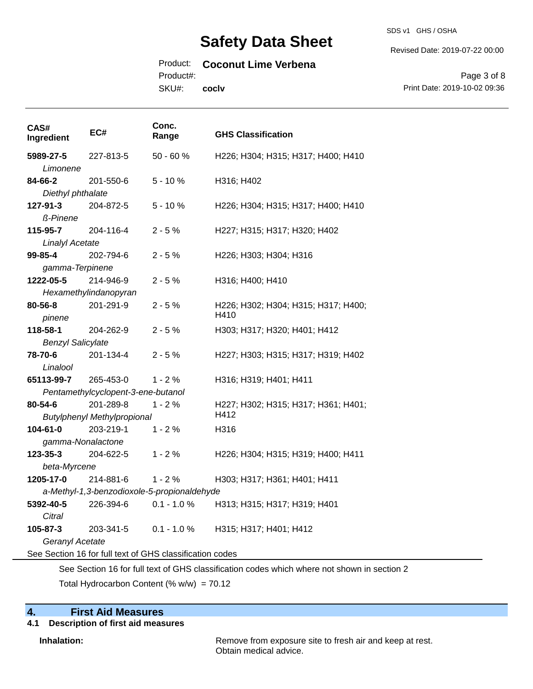SDS v1 GHS / OSHA

Revised Date: 2019-07-22 00:00

## Product: **Coconut Lime Verbena**

Product#:

SKU#: **coclv**

Page 3 of 8 Print Date: 2019-10-02 09:36

| CAS#<br>Ingredient                                                                          | EC#                                | Conc.<br>Range                                           | <b>GHS Classification</b>           |  |  |
|---------------------------------------------------------------------------------------------|------------------------------------|----------------------------------------------------------|-------------------------------------|--|--|
| 5989-27-5                                                                                   | 227-813-5                          | 50 - 60 %                                                | H226; H304; H315; H317; H400; H410  |  |  |
| Limonene                                                                                    |                                    |                                                          |                                     |  |  |
| 84-66-2                                                                                     | 201-550-6                          | $5 - 10%$                                                | H316; H402                          |  |  |
| Diethyl phthalate                                                                           |                                    |                                                          |                                     |  |  |
| 127-91-3                                                                                    | 204-872-5                          | $5 - 10%$                                                | H226; H304; H315; H317; H400; H410  |  |  |
| ß-Pinene                                                                                    |                                    |                                                          |                                     |  |  |
| 115-95-7                                                                                    | 204-116-4                          | $2 - 5%$                                                 | H227; H315; H317; H320; H402        |  |  |
| <b>Linalyl Acetate</b>                                                                      |                                    |                                                          |                                     |  |  |
| 99-85-4                                                                                     | 202-794-6                          | $2 - 5%$                                                 | H226; H303; H304; H316              |  |  |
| gamma-Terpinene                                                                             |                                    |                                                          |                                     |  |  |
| 1222-05-5                                                                                   | 214-946-9                          | $2 - 5%$                                                 | H316; H400; H410                    |  |  |
|                                                                                             | Hexamethylindanopyran              |                                                          |                                     |  |  |
| $80 - 56 - 8$                                                                               | 201-291-9                          | $2 - 5%$                                                 | H226; H302; H304; H315; H317; H400; |  |  |
| pinene                                                                                      |                                    |                                                          | H410                                |  |  |
| 118-58-1                                                                                    | 204-262-9                          | $2 - 5%$                                                 | H303; H317; H320; H401; H412        |  |  |
| <b>Benzyl Salicylate</b>                                                                    |                                    |                                                          |                                     |  |  |
| 78-70-6                                                                                     | 201-134-4                          | $2 - 5%$                                                 | H227; H303; H315; H317; H319; H402  |  |  |
| Linalool                                                                                    |                                    |                                                          |                                     |  |  |
| 65113-99-7                                                                                  | 265-453-0                          | $1 - 2%$                                                 | H316; H319; H401; H411              |  |  |
|                                                                                             | Pentamethylcyclopent-3-ene-butanol |                                                          |                                     |  |  |
| 80-54-6                                                                                     | 201-289-8                          | $1 - 2%$                                                 | H227; H302; H315; H317; H361; H401; |  |  |
|                                                                                             | <b>Butylphenyl Methylpropional</b> |                                                          | H412                                |  |  |
| 104-61-0                                                                                    | 203-219-1                          | $1 - 2%$                                                 | H316                                |  |  |
| gamma-Nonalactone                                                                           |                                    |                                                          |                                     |  |  |
| 123-35-3                                                                                    | 204-622-5                          | $1 - 2%$                                                 | H226; H304; H315; H319; H400; H411  |  |  |
| beta-Myrcene                                                                                |                                    |                                                          |                                     |  |  |
| 1205-17-0                                                                                   | 214-881-6                          | $1 - 2%$                                                 | H303; H317; H361; H401; H411        |  |  |
|                                                                                             |                                    | a-Methyl-1,3-benzodioxole-5-propionaldehyde              |                                     |  |  |
| 5392-40-5                                                                                   | 226-394-6                          | $0.1 - 1.0 %$                                            | H313; H315; H317; H319; H401        |  |  |
| Citral                                                                                      |                                    |                                                          |                                     |  |  |
| 105-87-3                                                                                    | 203-341-5                          | $0.1 - 1.0 %$                                            | H315; H317; H401; H412              |  |  |
| Geranyl Acetate                                                                             |                                    |                                                          |                                     |  |  |
|                                                                                             |                                    | See Section 16 for full text of GHS classification codes |                                     |  |  |
| See Section 16 for full text of GHS classification codes which where not shown in section 2 |                                    |                                                          |                                     |  |  |

Total Hydrocarbon Content (%  $w/w$ ) = 70.12

# **4. First Aid Measures**

# **4.1 Description of first aid measures**

**Inhalation:** Remove from exposure site to fresh air and keep at rest. Obtain medical advice.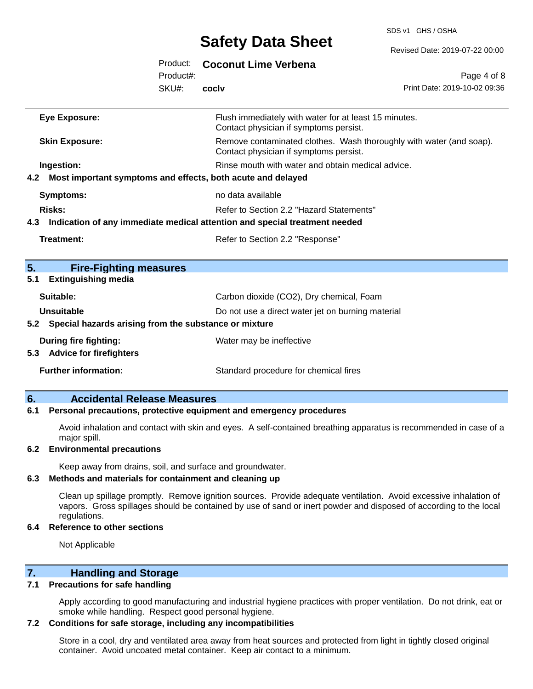SDS v1 GHS / OSHA

|     |                                                                 |           | <b>OUIDLY DULU VIIDDL</b>                                                                                     | Revised Date: 2019-07-22 00:00 |  |  |
|-----|-----------------------------------------------------------------|-----------|---------------------------------------------------------------------------------------------------------------|--------------------------------|--|--|
|     |                                                                 | Product:  | <b>Coconut Lime Verbena</b>                                                                                   |                                |  |  |
|     |                                                                 | Product#: |                                                                                                               | Page 4 of 8                    |  |  |
|     |                                                                 | SKU#:     | cocly                                                                                                         | Print Date: 2019-10-02 09:36   |  |  |
|     | <b>Eye Exposure:</b>                                            |           | Flush immediately with water for at least 15 minutes.<br>Contact physician if symptoms persist.               |                                |  |  |
|     | <b>Skin Exposure:</b>                                           |           | Remove contaminated clothes. Wash thoroughly with water (and soap).<br>Contact physician if symptoms persist. |                                |  |  |
|     | Ingestion:                                                      |           | Rinse mouth with water and obtain medical advice.                                                             |                                |  |  |
|     | 4.2 Most important symptoms and effects, both acute and delayed |           |                                                                                                               |                                |  |  |
|     | <b>Symptoms:</b>                                                |           | no data available                                                                                             |                                |  |  |
|     | <b>Risks:</b>                                                   |           | Refer to Section 2.2 "Hazard Statements"                                                                      |                                |  |  |
|     |                                                                 |           | 4.3 Indication of any immediate medical attention and special treatment needed                                |                                |  |  |
|     | Treatment:                                                      |           | Refer to Section 2.2 "Response"                                                                               |                                |  |  |
| 5.  | <b>Fire-Fighting measures</b>                                   |           |                                                                                                               |                                |  |  |
| 5.1 | <b>Extinguishing media</b>                                      |           |                                                                                                               |                                |  |  |
|     | Suitable:                                                       |           | Carbon dioxide (CO2), Dry chemical, Foam                                                                      |                                |  |  |
|     | <b>Unsuitable</b>                                               |           | Do not use a direct water jet on burning material                                                             |                                |  |  |
| 5.2 | Special hazards arising from the substance or mixture           |           |                                                                                                               |                                |  |  |
|     | During fire fighting:<br>5.3 Advice for firefighters            |           | Water may be ineffective                                                                                      |                                |  |  |
|     | <b>Further information:</b>                                     |           | Standard procedure for chemical fires                                                                         |                                |  |  |
|     |                                                                 |           |                                                                                                               |                                |  |  |

### **6. Accidental Release Measures**

#### **6.1 Personal precautions, protective equipment and emergency procedures**

Avoid inhalation and contact with skin and eyes. A self-contained breathing apparatus is recommended in case of a major spill.

#### **6.2 Environmental precautions**

Keep away from drains, soil, and surface and groundwater.

### **6.3 Methods and materials for containment and cleaning up**

Clean up spillage promptly. Remove ignition sources. Provide adequate ventilation. Avoid excessive inhalation of vapors. Gross spillages should be contained by use of sand or inert powder and disposed of according to the local regulations.

#### **6.4 Reference to other sections**

Not Applicable

## **7. Handling and Storage**

#### **7.1 Precautions for safe handling**

Apply according to good manufacturing and industrial hygiene practices with proper ventilation. Do not drink, eat or smoke while handling. Respect good personal hygiene.

#### **7.2 Conditions for safe storage, including any incompatibilities**

Store in a cool, dry and ventilated area away from heat sources and protected from light in tightly closed original container. Avoid uncoated metal container. Keep air contact to a minimum.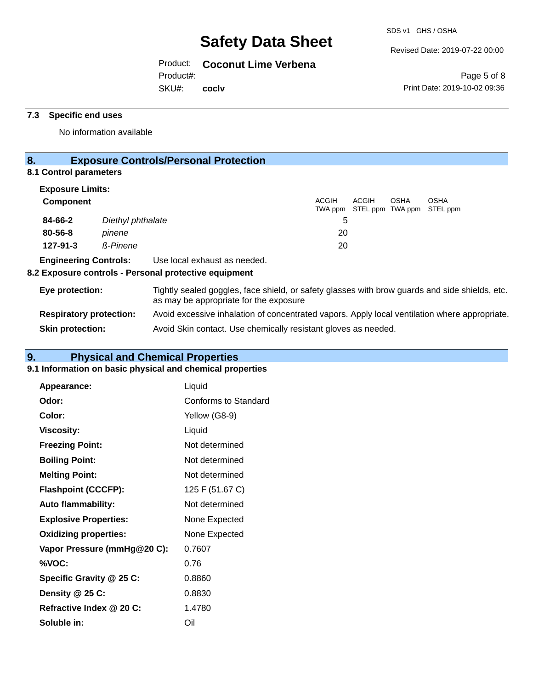Revised Date: 2019-07-22 00:00

Product: **Coconut Lime Verbena**

Product#:

SKU#: **coclv**

Page 5 of 8 Print Date: 2019-10-02 09:36

## **7.3 Specific end uses**

No information available

# **8. Exposure Controls/Personal Protection**

## **8.1 Control parameters**

| <b>Exposure Limits:</b>        |                   |                                                                                                                                          |              |         |                           |             |                         |  |
|--------------------------------|-------------------|------------------------------------------------------------------------------------------------------------------------------------------|--------------|---------|---------------------------|-------------|-------------------------|--|
| <b>Component</b>               |                   |                                                                                                                                          | <b>ACGIH</b> | TWA ppm | ACGIH<br>STEL ppm TWA ppm | <b>OSHA</b> | <b>OSHA</b><br>STEL ppm |  |
| 84-66-2                        | Diethyl phthalate |                                                                                                                                          |              | 5       |                           |             |                         |  |
| 80-56-8                        | pinene            |                                                                                                                                          |              | 20      |                           |             |                         |  |
| $127 - 91 - 3$                 | <b>ß-Pinene</b>   |                                                                                                                                          |              | 20      |                           |             |                         |  |
| <b>Engineering Controls:</b>   |                   | Use local exhaust as needed.<br>8.2 Exposure controls - Personal protective equipment                                                    |              |         |                           |             |                         |  |
| Eye protection:                |                   | Tightly sealed goggles, face shield, or safety glasses with brow guards and side shields, etc.<br>as may be appropriate for the exposure |              |         |                           |             |                         |  |
| <b>Respiratory protection:</b> |                   | Avoid excessive inhalation of concentrated vapors. Apply local ventilation where appropriate.                                            |              |         |                           |             |                         |  |
| <b>Skin protection:</b>        |                   | Avoid Skin contact. Use chemically resistant gloves as needed.                                                                           |              |         |                           |             |                         |  |

# **9. Physical and Chemical Properties**

## **9.1 Information on basic physical and chemical properties**

| Appearance:                  | Liquid               |
|------------------------------|----------------------|
| Odor:                        | Conforms to Standard |
| Color:                       | Yellow (G8-9)        |
| Viscosity:                   | Liquid               |
| <b>Freezing Point:</b>       | Not determined       |
| <b>Boiling Point:</b>        | Not determined       |
| <b>Melting Point:</b>        | Not determined       |
| <b>Flashpoint (CCCFP):</b>   | 125 F (51.67 C)      |
| <b>Auto flammability:</b>    | Not determined       |
| <b>Explosive Properties:</b> | None Expected        |
| <b>Oxidizing properties:</b> | None Expected        |
| Vapor Pressure (mmHg@20 C):  | 0.7607               |
| %VOC:                        | 0.76                 |
| Specific Gravity @ 25 C:     | 0.8860               |
| Density @ 25 C:              | 0.8830               |
| Refractive Index @ 20 C:     | 1.4780               |
| Soluble in:                  | Oil                  |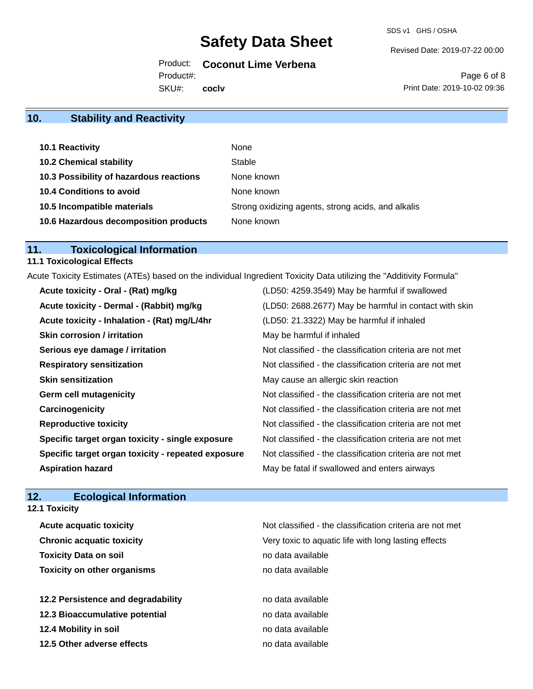Revised Date: 2019-07-22 00:00

Product: **Coconut Lime Verbena**

Product#:

SKU#: **coclv**

Page 6 of 8 Print Date: 2019-10-02 09:36

# **10. Stability and Reactivity**

| 10.1 Reactivity                         | None                                               |
|-----------------------------------------|----------------------------------------------------|
| <b>10.2 Chemical stability</b>          | Stable                                             |
| 10.3 Possibility of hazardous reactions | None known                                         |
| 10.4 Conditions to avoid                | None known                                         |
| 10.5 Incompatible materials             | Strong oxidizing agents, strong acids, and alkalis |
| 10.6 Hazardous decomposition products   | None known                                         |

## **11. Toxicological Information**

# **11.1 Toxicological Effects**

Acute Toxicity Estimates (ATEs) based on the individual Ingredient Toxicity Data utilizing the "Additivity Formula"

| Acute toxicity - Oral - (Rat) mg/kg                | (LD50: 4259.3549) May be harmful if swallowed            |
|----------------------------------------------------|----------------------------------------------------------|
| Acute toxicity - Dermal - (Rabbit) mg/kg           | (LD50: 2688.2677) May be harmful in contact with skin    |
| Acute toxicity - Inhalation - (Rat) mg/L/4hr       | (LD50: 21.3322) May be harmful if inhaled                |
| <b>Skin corrosion / irritation</b>                 | May be harmful if inhaled                                |
| Serious eye damage / irritation                    | Not classified - the classification criteria are not met |
| <b>Respiratory sensitization</b>                   | Not classified - the classification criteria are not met |
| <b>Skin sensitization</b>                          | May cause an allergic skin reaction                      |
| <b>Germ cell mutagenicity</b>                      | Not classified - the classification criteria are not met |
| Carcinogenicity                                    | Not classified - the classification criteria are not met |
| <b>Reproductive toxicity</b>                       | Not classified - the classification criteria are not met |
| Specific target organ toxicity - single exposure   | Not classified - the classification criteria are not met |
| Specific target organ toxicity - repeated exposure | Not classified - the classification criteria are not met |
| <b>Aspiration hazard</b>                           | May be fatal if swallowed and enters airways             |

# **12. Ecological Information**

|  | <b>12.1 Toxicity</b> |
|--|----------------------|
|--|----------------------|

| <b>Acute acquatic toxicity</b>     | Not classified - the classification criteria are not met |
|------------------------------------|----------------------------------------------------------|
| <b>Chronic acquatic toxicity</b>   | Very toxic to aquatic life with long lasting effects     |
| <b>Toxicity Data on soil</b>       | no data available                                        |
| <b>Toxicity on other organisms</b> | no data available                                        |
|                                    |                                                          |
| 12.2 Persistence and degradability | no data available                                        |
| 12.3 Bioaccumulative potential     | no data available                                        |
| 12.4 Mobility in soil              | no data available                                        |
| 12.5 Other adverse effects         | no data available                                        |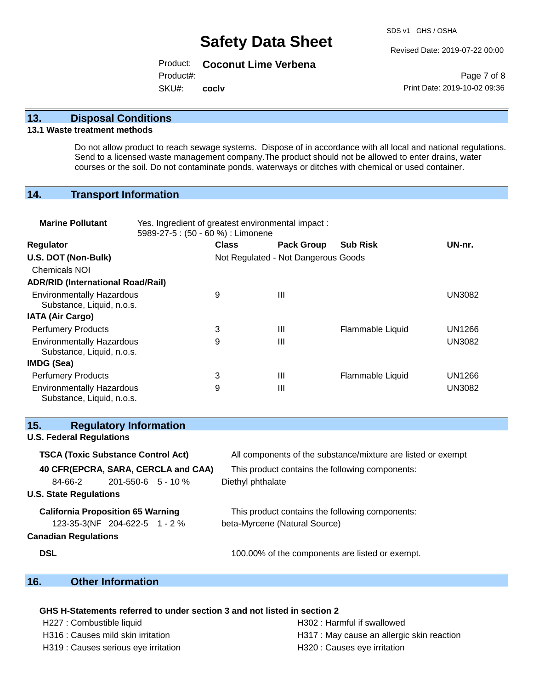Revised Date: 2019-07-22 00:00

Product: **Coconut Lime Verbena** SKU#: Product#: **coclv**

Page 7 of 8 Print Date: 2019-10-02 09:36

## **13. Disposal Conditions**

#### **13.1 Waste treatment methods**

Do not allow product to reach sewage systems. Dispose of in accordance with all local and national regulations. Send to a licensed waste management company.The product should not be allowed to enter drains, water courses or the soil. Do not contaminate ponds, waterways or ditches with chemical or used container.

## **14. Transport Information**

| <b>Marine Pollutant</b>                                       | Yes. Ingredient of greatest environmental impact:<br>5989-27-5: (50 - 60 %) : Limonene |                                     |                   |                  |               |
|---------------------------------------------------------------|----------------------------------------------------------------------------------------|-------------------------------------|-------------------|------------------|---------------|
| <b>Regulator</b>                                              |                                                                                        | <b>Class</b>                        | <b>Pack Group</b> | <b>Sub Risk</b>  | UN-nr.        |
| U.S. DOT (Non-Bulk)                                           |                                                                                        | Not Regulated - Not Dangerous Goods |                   |                  |               |
| <b>Chemicals NOI</b>                                          |                                                                                        |                                     |                   |                  |               |
| <b>ADR/RID (International Road/Rail)</b>                      |                                                                                        |                                     |                   |                  |               |
| <b>Environmentally Hazardous</b><br>Substance, Liquid, n.o.s. |                                                                                        | 9                                   | Ш                 |                  | <b>UN3082</b> |
| <b>IATA (Air Cargo)</b>                                       |                                                                                        |                                     |                   |                  |               |
| <b>Perfumery Products</b>                                     |                                                                                        | 3                                   | Ш                 | Flammable Liquid | UN1266        |
| <b>Environmentally Hazardous</b><br>Substance, Liquid, n.o.s. |                                                                                        | 9                                   | $\mathbf{III}$    |                  | <b>UN3082</b> |
| IMDG (Sea)                                                    |                                                                                        |                                     |                   |                  |               |
| <b>Perfumery Products</b>                                     |                                                                                        | 3                                   | Ш                 | Flammable Liquid | UN1266        |
| <b>Environmentally Hazardous</b><br>Substance, Liquid, n.o.s. |                                                                                        | 9                                   | Ш                 |                  | <b>UN3082</b> |

## **15. Regulatory Information**

| <b>TSCA (Toxic Substance Control Act)</b> | All components of the substance/mixture are listed or exempt |
|-------------------------------------------|--------------------------------------------------------------|
| 40 CFR(EPCRA, SARA, CERCLA and CAA)       | This product contains the following components:              |
| $201 - 550 - 6$ 5 - 10 %                  | Diethyl phthalate                                            |
|                                           |                                                              |
| <b>California Proposition 65 Warning</b>  | This product contains the following components:              |
| 123-35-3(NF 204-622-5 1 - 2 %             | beta-Myrcene (Natural Source)                                |
|                                           |                                                              |
|                                           | 100.00% of the components are listed or exempt.              |
|                                           |                                                              |

## **16. Other Information**

### **GHS H-Statements referred to under section 3 and not listed in section 2**

H227 : Combustible liquid H302 : Harmful if swallowed

- 
- H319 : Causes serious eye irritation et al. (a) H320 : Causes eye irritation
- H316 : Causes mild skin irritation **H317** : May cause an allergic skin reaction